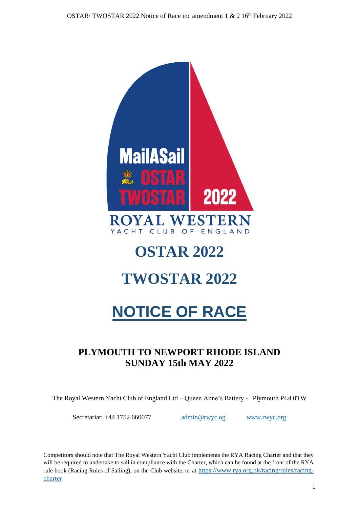

## **OSTAR 2022**

## **TWOSTAR 2022**

# **NOTICE OF RACE**

### **PLYMOUTH TO NEWPORT RHODE ISLAND SUNDAY 15th MAY 2022**

The Royal Western Yacht Club of England Ltd – Queen Anne's Battery - Plymouth PL4 0TW

Secretariat: +44 1752 660077 [admin@rwyc.og](mailto:admin@rwyc.og) [www.rwyc.org](http://www.rwyc.org/)

Competitors should note that The Royal Western Yacht Club implements the RYA Racing Charter and that they will be required to undertake to sail in compliance with the Charter, which can be found at the front of the RYA rule book (Racing Rules of Sailing), on the Club website, or at [https://www.rya.org.uk/racing/rules/racing](https://www.rya.org.uk/racing/rules/racing-charter)[charter](https://www.rya.org.uk/racing/rules/racing-charter)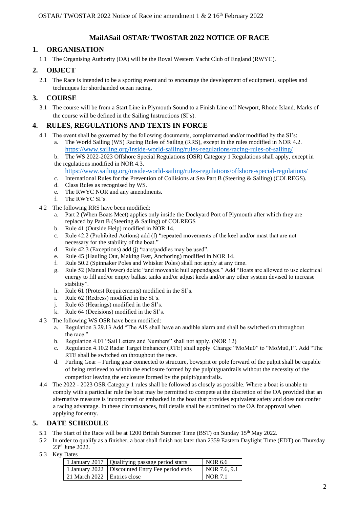#### **MailASail OSTAR/ TWOSTAR 2022 NOTICE OF RACE**

#### <span id="page-1-0"></span>**1. ORGANISATION**

1.1 The Organising Authority (OA) will be the Royal Western Yacht Club of England (RWYC).

#### **2. OBJECT**

2.1 The Race is intended to be a sporting event and to encourage the development of equipment, supplies and techniques for shorthanded ocean racing.

#### **3. COURSE**

3.1 The course will be from a Start Line in Plymouth Sound to a Finish Line off Newport, Rhode Island. Marks of the course will be defined in the Sailing Instructions (SI's).

#### **4. RULES, REGULATIONS AND TEXTS IN FORCE**

- 4.1 The event shall be governed by the following documents, complemented and/or modified by the SI's:
	- a. The World Sailing (WS) Racing Rules of Sailing (RRS), except in the rules modified in NOR [4.2.](#page-1-0) <https://www.sailing.org/inside-world-sailing/rules-regulations/racing-rules-of-sailing/>
	- b. The WS 2022-2023 Offshore Special Regulations (OSR) Category 1 Regulations shall apply, except in the regulations modified in NOR [4.3.](#page-1-0)
	- <https://www.sailing.org/inside-world-sailing/rules-regulations/offshore-special-regulations/>
	- c. International Rules for the Prevention of Collisions at Sea Part B (Steering & Sailing) (COLREGS).
	- d. Class Rules as recognised by WS.
	- e. The RWYC NOR and any amendments.
	- f. The RWYC SI's.
- 4.2 The following RRS have been modified:
	- a. Part 2 (When Boats Meet) applies only inside the Dockyard Port of Plymouth after which they are replaced by Part B (Steering & Sailing) of COLREGS
	- b. Rule 41 (Outside Help) modified in NOR 14.
	- c. Rule 42.2 (Prohibited Actions) add (f) "repeated movements of the keel and/or mast that are not necessary for the stability of the boat."
	- d. Rule 42.3 (Exceptions) add (j) "oars/paddles may be used".
	- e. Rule 45 (Hauling Out, Making Fast, Anchoring) modified in NOR 14.
	- f. Rule 50.2 (Spinnaker Poles and Whisker Poles) shall not apply at any time.
	- g. Rule 52 (Manual Power) delete "and moveable hull appendages." Add "Boats are allowed to use electrical energy to fill and/or empty ballast tanks and/or adjust keels and/or any other system devised to increase stability".
	- h. Rule 61 (Protest Requirements) modified in the SI's.
	- i. Rule 62 (Redress) modified in the SI's.
	- j. Rule 63 (Hearings) modified in the SI's.
	- k. Rule 64 (Decisions) modified in the SI's.
- 4.3 The following WS OSR have been modified:
	- a. Regulation 3.29.13 Add "The AIS shall have an audible alarm and shall be switched on throughout the race."
	- b. Regulation 4.01 "Sail Letters and Numbers" shall not apply. (NOR 12)
	- c. Regulation 4.10.2 Radar Target Enhancer (RTE) shall apply. Change "MoMu0" to "MoMu0,1". Add "The RTE shall be switched on throughout the race.
	- d. Furling Gear Furling gear connected to structure, bowsprit or pole forward of the pulpit shall be capable of being retrieved to within the enclosure formed by the pulpit/guardrails without the necessity of the competitor leaving the enclosure formed by the pulpit/guardrails.
- 4.4 The 2022 2023 OSR Category 1 rules shall be followed as closely as possible. Where a boat is unable to comply with a particular rule the boat may be permitted to compete at the discretion of the OA provided that an alternative measure is incorporated or embarked in the boat that provides equivalent safety and does not confer a racing advantage. In these circumstances, full details shall be submitted to the OA for approval when applying for entry.

#### **5. DATE SCHEDULE**

- 5.1 The Start of the Race will be at 1200 British Summer Time (BST) on Sunday 15th May 2022.
- 5.2 In order to qualify as a finisher, a boat shall finish not later than 2359 Eastern Daylight Time (EDT) on Thursday 23rd June 2022.
- 5.3 Key Dates

|                             | 1 January 2017   Qualifying passage period starts | NOR 6.6      |
|-----------------------------|---------------------------------------------------|--------------|
|                             | 1 January 2022   Discounted Entry Fee period ends | NOR 7.6, 9.1 |
| 21 March 2022 Entries close |                                                   | NOR 7.1      |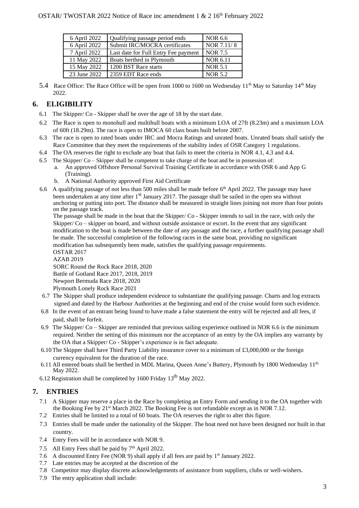<span id="page-2-0"></span>

| 6 April 2022 | Qualifying passage period ends       | NOR 6.6        |
|--------------|--------------------------------------|----------------|
| 6 April 2022 | Submit IRC/MOCRA certificates        | NOR 7.11/8     |
| 7 April 2022 | Last date for Full Entry Fee payment | NOR 7.5        |
| 11 May 2022  | Boats berthed in Plymouth            | NOR 6.11       |
| 15 May 2022  | 1200 BST Race starts                 | <b>NOR 5.1</b> |
| 23 June 2022 | 2359 EDT Race ends                   | NOR 5.2        |

5.4 Race Office: The Race Office will be open from 1000 to 1600 on Wednesday  $11<sup>th</sup>$  May to Saturday  $14<sup>th</sup>$  May 2022.

#### **6. ELIGIBILITY**

- 6.1 The Skipper/ Co Skipper shall be over the age of 18 by the start date.
- 6.2 The Race is open to monohull and multihull boats with a minimum LOA of 27ft (8.23m) and a maximum LOA of 60ft (18.29m). The race is open to IMOCA 60 class boats built before 2007.
- 6.3 The race is open to rated boats under IRC and Mocra Ratings and unrated boats. Unrated boats shall satisfy the Race Committee that they meet the requirements of the stability index of OSR Category 1 regulations.
- 6.4 The OA reserves the right to exclude any boat that fails to meet the criteria in NOR [4.1, 4.3](#page-1-0) and [4.4.](#page-1-0)
- 6.5 The Skipper/ Co Skipper shall be competent to take charge of the boat and be in possession of: a. An approved Offshore Personal Survival Training Certificate in accordance with OSR 6 and App G (Training).
	- b. A National Authority approved First Aid Certificate
- 6.6 A qualifying passage of not less than 500 miles shall be made before  $6<sup>th</sup>$  April 2022. The passage may have been undertaken at any time after 1<sup>st</sup> January 2017. The passage shall be sailed in the open sea without anchoring or putting into port. The distance shall be measured in straight lines joining not more than four points on the passage track.

The passage shall be made in the boat that the Skipper/ Co - Skipper intends to sail in the race, with only the Skipper/ $Co$  – skipper on board, and without outside assistance or escort. In the event that any significant modification to the boat is made between the date of any passage and the race, a further qualifying passage shall be made. The successful completion of the following races in the same boat, providing no significant modification has subsequently been made, satisfies the qualifying passage requirements.

- OSTAR 2017
- AZAB 2019

SORC Round the Rock Race 2018, 2020

Battle of Gotland Race 2017, 2018, 2019

Newport Bermuda Race 2018, 2020 Plymouth Lonely Rock Race 2021

- 6.7 The Skipper shall produce independent evidence to substantiate the qualifying passage. Charts and log extracts signed and dated by the Harbour Authorities at the beginning and end of the cruise would form such evidence.
- 6.8 In the event of an entrant being found to have made a false statement the entry will be rejected and all fees, if paid, shall be forfeit.
- 6.9 The Skipper/ Co Skipper are reminded that previous sailing experience outlined in NOR [6.6](#page-2-0) is the minimum required. Neither the setting of this minimum nor the acceptance of an entry by the OA implies any warranty by the OA that a Skipper/ Co - Skipper's experience is in fact adequate.
- 6.10 The Skipper shall have Third Party Liability insurance cover to a minimum of  $\text{\textsterling}3,000,000$  or the foreign currency equivalent for the duration of the race.
- 6.11 All entered boats shall be berthed in MDL Marina, Queen Anne's Battery, Plymouth by 1800 Wednesday 11th May 2022.
- 6.12 Registration shall be completed by 1600 Friday  $13<sup>th</sup>$  May 2022.

#### **7. ENTRIES**

- 7.1 A Skipper may reserve a place in the Race by completing an Entry Form and sending it to the OA together with the Booking Fee by 21<sup>st</sup> March 2022. The Booking Fee is not refundable except as in NOR 7.12.
- 7.2 Entries shall be limited to a total of 60 boats. The OA reserves the right to alter this figure.
- 7.3 Entries shall be made under the nationality of the Skipper. The boat need not have been designed nor built in that country.
- 7.4 Entry Fees will be in accordance with NOR 9.
- 7.5 All Entry Fees shall be paid by 7<sup>th</sup> April 2022.
- 7.6 A discounted Entry Fee (NOR 9) shall apply if all fees are paid by 1 st January 2022.
- 7.7 Late entries may be accepted at the discretion of the
- 7.8 Competitor may display discrete acknowledgements of assistance from suppliers, clubs or well-wishers.
- 7.9 The entry application shall include: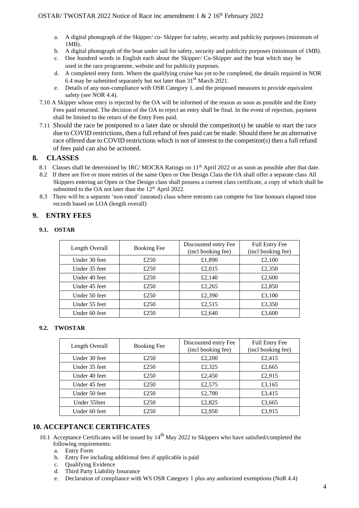- a. A digital photograph of the Skipper/ co- Skipper for safety, security and publicity purposes (minimum of 1MB).
- b. A digital photograph of the boat under sail for safety, security and publicity purposes (minimum of 1MB).
- c. One hundred words in English each about the Skipper/ Co-Skipper and the boat which may be used in the race programme, website and for publicity purposes.
- d. A completed entry form. Where the qualifying cruise has yet to be completed, the details required in NOR [6.4 m](#page-2-0)ay be submitted separately but not later than  $31<sup>st</sup>$  March 2021.
- e. Details of any non-compliance with OSR Category 1, and the proposed measures to provide equivalent safety (see NO[R 4.4\).](#page-1-0)
- 7.10 A Skipper whose entry is rejected by the OA will be informed of the reason as soon as possible and the Entry Fees paid returned. The decision of the OA to reject an entry shall be final. In the event of rejection, payment shall be limited to the return of the Entry Fees paid.
- 7.11 Should the race be postponed to a later date or should the competitor(s) be unable to start the race due to COVID restrictions, then a full refund of fees paid can be made. Should there be an alternative race offered due to COVID restrictions which is not of interest to the competitor(s) then a full refund of fees paid can also be actioned.

#### **8. CLASSES**

- 8.1 Classes shall be determined by IRC/ MOCRA Ratings on  $11<sup>th</sup>$  April 2022 or as soon as possible after that date.
- 8.2 If there are five or more entries of the same Open or One Design Class the OA shall offer a separate class All Skippers entering an Open or One Design class shall possess a current class certificate, a copy of which shall be submitted to the OA not later than the 12<sup>th</sup> April 2022.
- 8.3 There will be a separate 'non-rated' (unrated) class where entrants can compete for line honours elapsed time records based on LOA (length overall)

#### **9. ENTRY FEES**

#### **9.1. OSTAR**

| Length Overall | <b>Booking Fee</b> | Discounted entry Fee<br>(incl booking fee) | Full Entry Fee<br>(incl booking fee) |
|----------------|--------------------|--------------------------------------------|--------------------------------------|
| Under 30 feet  | £250               | £1,890                                     | £2,100                               |
| Under 35 feet  | £250               | £2,015                                     | £2,350                               |
| Under 40 feet  | £250               | £2,140                                     | £2,600                               |
| Under 45 feet  | £250               | £2,265                                     | £2,850                               |
| Under 50 feet  | £250               | £2,390                                     | £3,100                               |
| Under 55 feet  | £250               | £2,515                                     | £3,350                               |
| Under 60 feet  | £250               | £2,640                                     | £3,600                               |

#### **9.2. TWOSTAR**

| Length Overall | <b>Booking Fee</b> | Discounted entry Fee<br>(incl booking fee) | Full Entry Fee<br>(incl booking fee) |
|----------------|--------------------|--------------------------------------------|--------------------------------------|
| Under 30 feet  | £250               | £2,200                                     | £2,415                               |
| Under 35 feet  | £250               | £2,325                                     | £2,665                               |
| Under 40 feet  | £250               | £2,450                                     | £2,915                               |
| Under 45 feet  | £250               | £2,575                                     | £3,165                               |
| Under 50 feet  | £250               | £2,700                                     | £3,415                               |
| Under 55feet   | £250               | £2,825                                     | £3,665                               |
| Under 60 feet  | £250               | £2,950                                     | £3,915                               |

#### **10. ACCEPTANCE CERTIFICATES**

- 10.1 Acceptance Certificates will be issued by  $14<sup>th</sup>$  May 2022 to Skippers who have satisfied/completed the following requirements:
	- a. Entry Form
	- b. Entry Fee including additional fees if applicable is paid
	- c. Qualifying Evidence
	- d. Third Party Liability Insurance
	- e. Declaration of compliance with WS OSR Category 1 plus any authorized exemptions (NoR 4.4)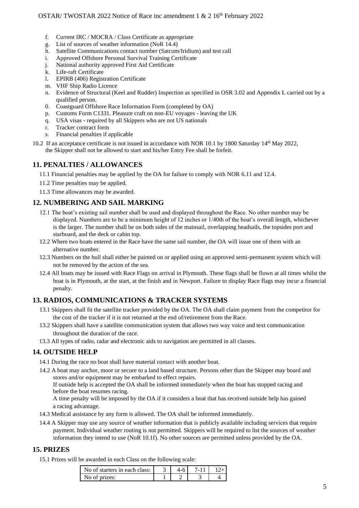- f. Current IRC / MOCRA / Class Certificate as appropriate
- g. List of sources of weather information (NoR 14.4)
- h. Satellite Communications contact number (Satcom/Iridium) and test call
- i. Approved Offshore Personal Survival Training Certificate
- j. National authority approved First Aid Certificate
- k. Life-raft Certificate
- l. EPIRB (406) Registration Certificate
- m. VHF Ship Radio Licence
- n. Evidence of Structural (Keel and Rudder) Inspection as specified in OSR 3.02 and Appendix L carried out by a qualified person.
- 0. Coastguard Offshore Race Information Form (completed by OA)
- p. Customs Form C1331. Pleasure craft on non-EU voyages leaving the UK
- q. USA visas required by all Skippers who are not US nationals
- r. Tracker contract form
- s. Financial penalties if applicable
- 10.2 If an acceptance certificate is not issued in accordance with NOR 10.1 by 1800 Saturday 14th May 2022, the Skipper shall not be allowed to start and his/her Entry Fee shall be forfeit.

#### **11. PENALTIES / ALLOWANCES**

11.1 Financial penalties may be applied by the OA for failure to comply with NOR [6.11 a](#page-2-0)nd 12.4.

- 11.2 Time penalties may be applied.
- 11.3 Time allowances may be awarded.

#### **12. NUMBERING AND SAIL MARKING**

- 12.1 The boat's existing sail number shall be used and displayed throughout the Race. No other number may be displayed. Numbers are to be a minimum height of 12 inches or 1/40th of the boat's overall length, whichever is the larger. The number shall be on both sides of the mainsail, overlapping headsails, the topsides port and starboard, and the deck or cabin top.
- 12.2 Where two boats entered in the Race have the same sail number, the OA will issue one of them with an alternative number.
- 12.3 Numbers on the hull shall either be painted on or applied using an approved semi-permanent system which will not be removed by the action of the sea.
- 12.4 All boats may be issued with Race Flags on arrival in Plymouth. These flags shall be flown at all times whilst the boat is in Plymouth, at the start, at the finish and in Newport. Failure to display Race flags may incur a financial penalty.

#### **13. RADIOS, COMMUNICATIONS & TRACKER SYSTEMS**

- 13.1 Skippers shall fit the satellite tracker provided by the OA. The OA shall claim payment from the competitor for the cost of the tracker if it is not returned at the end of/retirement from the Race.
- 13.2 Skippers shall have a satellite communication system that allows two way voice and text communication throughout the duration of the race.
- 13.3 All types of radio, radar and electronic aids to navigation are permitted in all classes.

#### **14. OUTSIDE HELP**

- 14.1 During the race no boat shall have material contact with another boat.
- 14.2 A boat may anchor, moor or secure to a land based structure. Persons other than the Skipper may board and stores and/or equipment may be embarked to effect repairs.

If outside help is accepted the OA shall be informed immediately when the boat has stopped racing and before the boat resumes racing.

A time penalty will be imposed by the OA if it considers a boat that has received outside help has gained a racing advantage.

- 14.3 Medical assistance by any form is allowed. The OA shall be informed immediately.
- 14.4 A Skipper may use any source of weather information that is publicly available including services that require payment. Individual weather routing is not permitted. Skippers will be required to list the sources of weather information they intend to use (NoR 10.1f). No other sources are permitted unless provided by the OA.

#### **15. PRIZES**

15.1 Prizes will be awarded in each Class on the following scale:

| No of starters in each class: |  |  |
|-------------------------------|--|--|
| No of prizes:                 |  |  |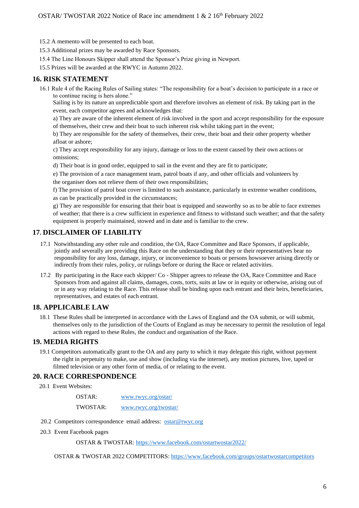- 15.2 A memento will be presented to each boat.
- 15.3 Additional prizes may be awarded by Race Sponsors.
- 15.4 The Line Honours Skipper shall attend the Sponsor's Prize giving in Newport.

15.5 Prizes will be awarded at the RWYC in Autumn 2022.

#### **16. RISK STATEMENT**

16.1 Rule 4 of the Racing Rules of Sailing states: "The responsibility for a boat's decision to participate in a race or to continue racing is hers alone."

Sailing is by its nature an unpredictable sport and therefore involves an element of risk. By taking part in the event, each competitor agrees and acknowledges that:

a) They are aware of the inherent element of risk involved in the sport and accept responsibility for the exposure of themselves, their crew and their boat to such inherent risk whilst taking part in the event;

b) They are responsible for the safety of themselves, their crew, their boat and their other property whether afloat or ashore;

c) They accept responsibility for any injury, damage or loss to the extent caused by their own actions or omissions;

d) Their boat is in good order, equipped to sail in the event and they are fit to participate;

e) The provision of a race management team, patrol boats if any, and other officials and volunteers by the organiser does not relieve them of their own responsibilities;

f) The provision of patrol boat cover is limited to such assistance, particularly in extreme weather conditions, as can be practically provided in the circumstances;

g) They are responsible for ensuring that their boat is equipped and seaworthy so as to be able to face extremes of weather; that there is a crew sufficient in experience and fitness to withstand such weather; and that the safety equipment is properly maintained, stowed and in date and is familiar to the crew.

#### **17. DISCLAIMER OF LIABILITY**

- 17.1 Notwithstanding any other rule and condition, the OA, Race Committee and Race Sponsors, if applicable, jointly and severally are providing this Race on the understanding that they or their representatives bear no responsibility for any loss, damage, injury, or inconvenience to boats or persons howsoever arising directly or indirectly from their rules, policy, or rulings before or during the Race or related activities.
- 17.2 By participating in the Race each skipper/ Co Shipper agrees to release the OA, Race Committee and Race Sponsors from and against all claims, damages, costs, torts, suits at law or in equity or otherwise, arising out of or in any way relating to the Race. This release shall be binding upon each entrant and their heirs, beneficiaries, representatives, and estates of each entrant.

#### **18. APPLICABLE LAW**

18.1 These Rules shall be interpreted in accordance with the Laws of England and the OA submit, or will submit, themselves only to the jurisdiction of the Courts of England as may be necessary to permit the resolution of legal actions with regard to these Rules, the conduct and organisation of the Race.

#### **19. MEDIA RIGHTS**

19.1 Competitors automatically grant to the OA and any party to which it may delegate this right, without payment the right in perpetuity to make, use and show (including via the internet), any motion pictures, live, taped or filmed television or any other form of media, of or relating to the event.

#### **20. RACE CORRESPONDENCE**

20.1 Event Websites:

| OSTAR:   | www.rwyc.org/ostar/   |
|----------|-----------------------|
| TWOSTAR: | www.rwyc.org/twostar/ |

- 20.2 Competitors correspondence email address: [ostar@rwyc.org](mailto:ostar@rwyc.org)
- 20.3 Event Facebook pages

OSTAR & TWOSTAR:<https://www.facebook.com/ostartwostar2022/>

OSTAR & TWOSTAR 2022 COMPETITORS[: https://www.facebook.com/groups/ostartwostarcompetitors](https://www.facebook.com/groups/ostartwostarcompetitors)